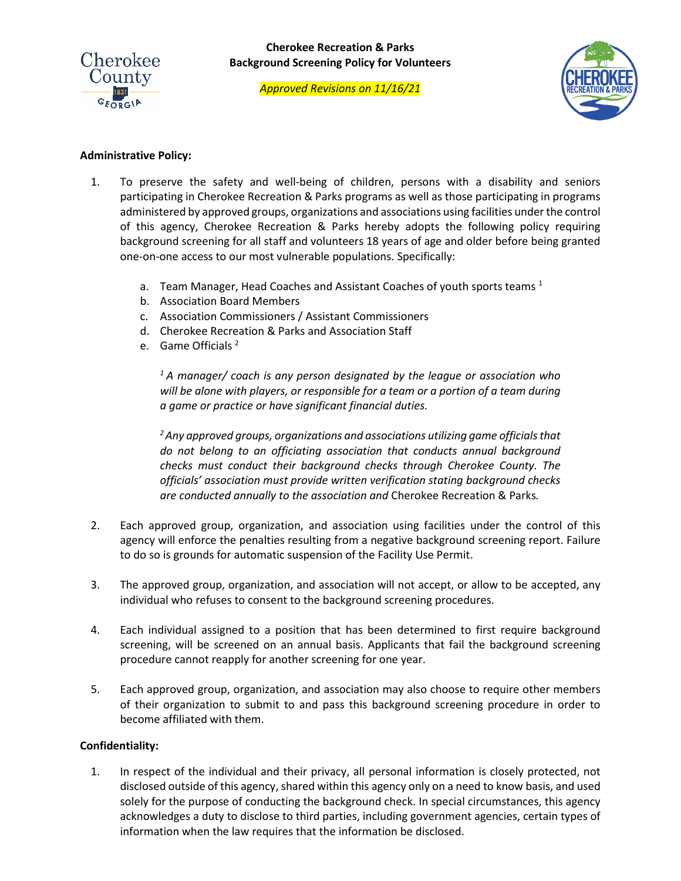

*Approved Revisions on 11/16/21*



# **Administrative Policy:**

- 1. To preserve the safety and well-being of children, persons with a disability and seniors participating in Cherokee Recreation & Parks programs as well as those participating in programs administered by approved groups, organizations and associations using facilities under the control of this agency, Cherokee Recreation & Parks hereby adopts the following policy requiring background screening for all staff and volunteers 18 years of age and older before being granted one-on-one access to our most vulnerable populations. Specifically:
	- a. Team Manager, Head Coaches and Assistant Coaches of youth sports teams  $<sup>1</sup>$ </sup>
	- b. Association Board Members
	- c. Association Commissioners / Assistant Commissioners
	- d. Cherokee Recreation & Parks and Association Staff
	- e. Game Officials 2

*1 A manager/ coach is any person designated by the league or association who*  will be alone with players, or responsible for a team or a portion of a team during *a game or practice or have significant financial duties.*

*2 Any approved groups, organizations and associations utilizing game officials that do not belong to an officiating association that conducts annual background checks must conduct their background checks through Cherokee County. The officials' association must provide written verification stating background checks are conducted annually to the association and* Cherokee Recreation & Parks*.*

- 2. Each approved group, organization, and association using facilities under the control of this agency will enforce the penalties resulting from a negative background screening report. Failure to do so is grounds for automatic suspension of the Facility Use Permit.
- 3. The approved group, organization, and association will not accept, or allow to be accepted, any individual who refuses to consent to the background screening procedures.
- 4. Each individual assigned to a position that has been determined to first require background screening, will be screened on an annual basis. Applicants that fail the background screening procedure cannot reapply for another screening for one year.
- 5. Each approved group, organization, and association may also choose to require other members of their organization to submit to and pass this background screening procedure in order to become affiliated with them.

# **Confidentiality:**

1. In respect of the individual and their privacy, all personal information is closely protected, not disclosed outside of this agency, shared within this agency only on a need to know basis, and used solely for the purpose of conducting the background check. In special circumstances, this agency acknowledges a duty to disclose to third parties, including government agencies, certain types of information when the law requires that the information be disclosed.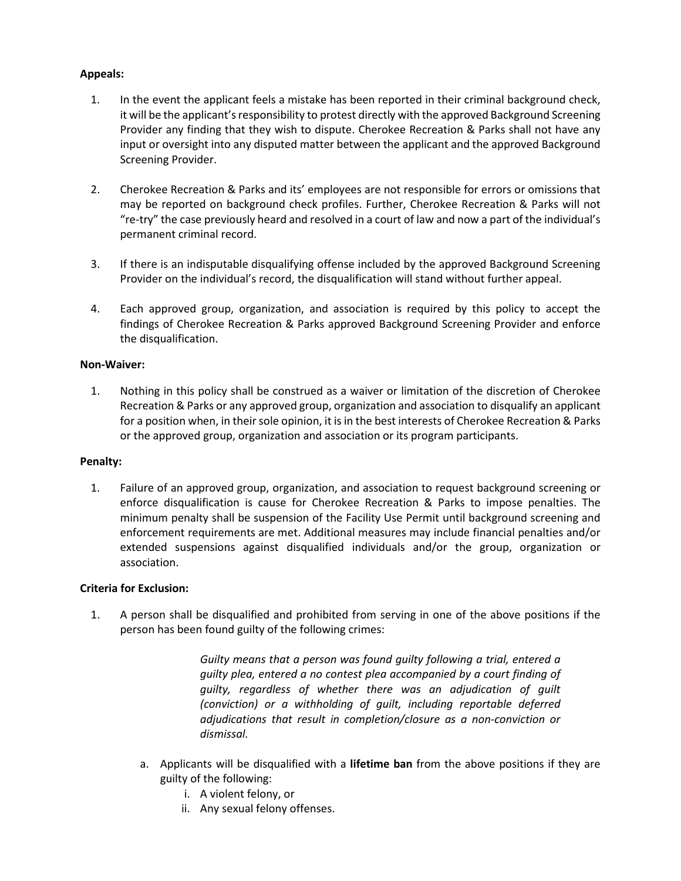# **Appeals:**

- 1. In the event the applicant feels a mistake has been reported in their criminal background check, it will be the applicant's responsibility to protest directly with the approved Background Screening Provider any finding that they wish to dispute. Cherokee Recreation & Parks shall not have any input or oversight into any disputed matter between the applicant and the approved Background Screening Provider.
- 2. Cherokee Recreation & Parks and its' employees are not responsible for errors or omissions that may be reported on background check profiles. Further, Cherokee Recreation & Parks will not "re-try" the case previously heard and resolved in a court of law and now a part of the individual's permanent criminal record.
- 3. If there is an indisputable disqualifying offense included by the approved Background Screening Provider on the individual's record, the disqualification will stand without further appeal.
- 4. Each approved group, organization, and association is required by this policy to accept the findings of Cherokee Recreation & Parks approved Background Screening Provider and enforce the disqualification.

## **Non-Waiver:**

1. Nothing in this policy shall be construed as a waiver or limitation of the discretion of Cherokee Recreation & Parks or any approved group, organization and association to disqualify an applicant for a position when, in their sole opinion, it is in the best interests of Cherokee Recreation & Parks or the approved group, organization and association or its program participants.

### **Penalty:**

1. Failure of an approved group, organization, and association to request background screening or enforce disqualification is cause for Cherokee Recreation & Parks to impose penalties. The minimum penalty shall be suspension of the Facility Use Permit until background screening and enforcement requirements are met. Additional measures may include financial penalties and/or extended suspensions against disqualified individuals and/or the group, organization or association.

### **Criteria for Exclusion:**

1. A person shall be disqualified and prohibited from serving in one of the above positions if the person has been found guilty of the following crimes:

> *Guilty means that a person was found guilty following a trial, entered a guilty plea, entered a no contest plea accompanied by a court finding of guilty, regardless of whether there was an adjudication of guilt (conviction) or a withholding of guilt, including reportable deferred adjudications that result in completion/closure as a non-conviction or dismissal.*

- a. Applicants will be disqualified with a **lifetime ban** from the above positions if they are guilty of the following:
	- i. A violent felony, or
	- ii. Any sexual felony offenses.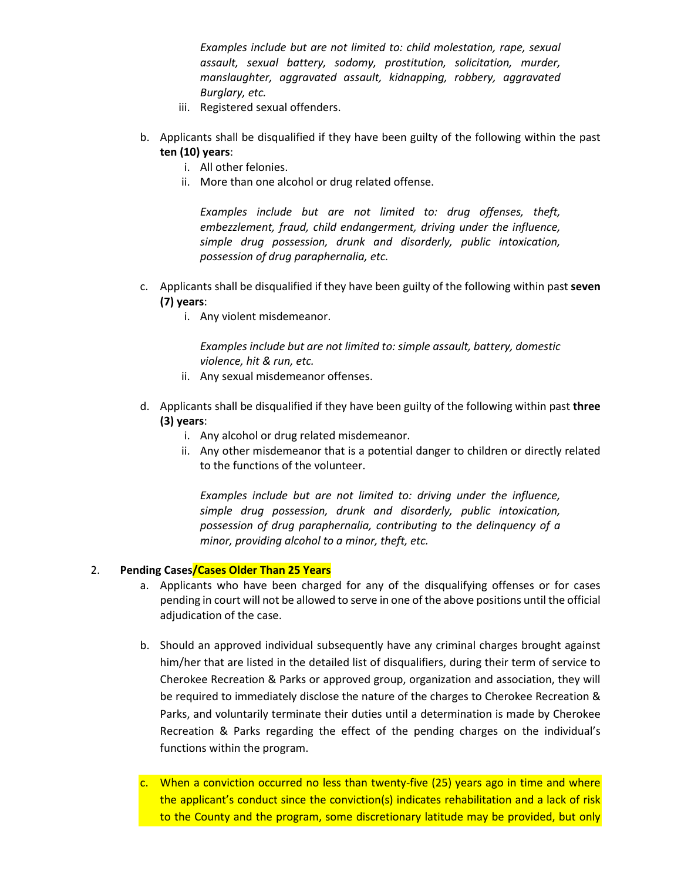*Examples include but are not limited to: child molestation, rape, sexual assault, sexual battery, sodomy, prostitution, solicitation, murder, manslaughter, aggravated assault, kidnapping, robbery, aggravated Burglary, etc.*

- iii. Registered sexual offenders.
- b. Applicants shall be disqualified if they have been guilty of the following within the past **ten (10) years**:
	- i. All other felonies.
	- ii. More than one alcohol or drug related offense.

*Examples include but are not limited to: drug offenses, theft, embezzlement, fraud, child endangerment, driving under the influence, simple drug possession, drunk and disorderly, public intoxication, possession of drug paraphernalia, etc.*

- c. Applicants shall be disqualified if they have been guilty of the following within past **seven (7) years**:
	- i. Any violent misdemeanor.

*Examples include but are not limited to: simple assault, battery, domestic violence, hit & run, etc.*

- ii. Any sexual misdemeanor offenses.
- d. Applicants shall be disqualified if they have been guilty of the following within past **three (3) years**:
	- i. Any alcohol or drug related misdemeanor.
	- ii. Any other misdemeanor that is a potential danger to children or directly related to the functions of the volunteer.

*Examples include but are not limited to: driving under the influence, simple drug possession, drunk and disorderly, public intoxication, possession of drug paraphernalia, contributing to the delinquency of a minor, providing alcohol to a minor, theft, etc.*

# 2. **Pending Cases/Cases Older Than 25 Years**

- a. Applicants who have been charged for any of the disqualifying offenses or for cases pending in court will not be allowed to serve in one of the above positions until the official adjudication of the case.
- b. Should an approved individual subsequently have any criminal charges brought against him/her that are listed in the detailed list of disqualifiers, during their term of service to Cherokee Recreation & Parks or approved group, organization and association, they will be required to immediately disclose the nature of the charges to Cherokee Recreation & Parks, and voluntarily terminate their duties until a determination is made by Cherokee Recreation & Parks regarding the effect of the pending charges on the individual's functions within the program.
- c. When a conviction occurred no less than twenty-five (25) years ago in time and where the applicant's conduct since the conviction(s) indicates rehabilitation and a lack of risk to the County and the program, some discretionary latitude may be provided, but only